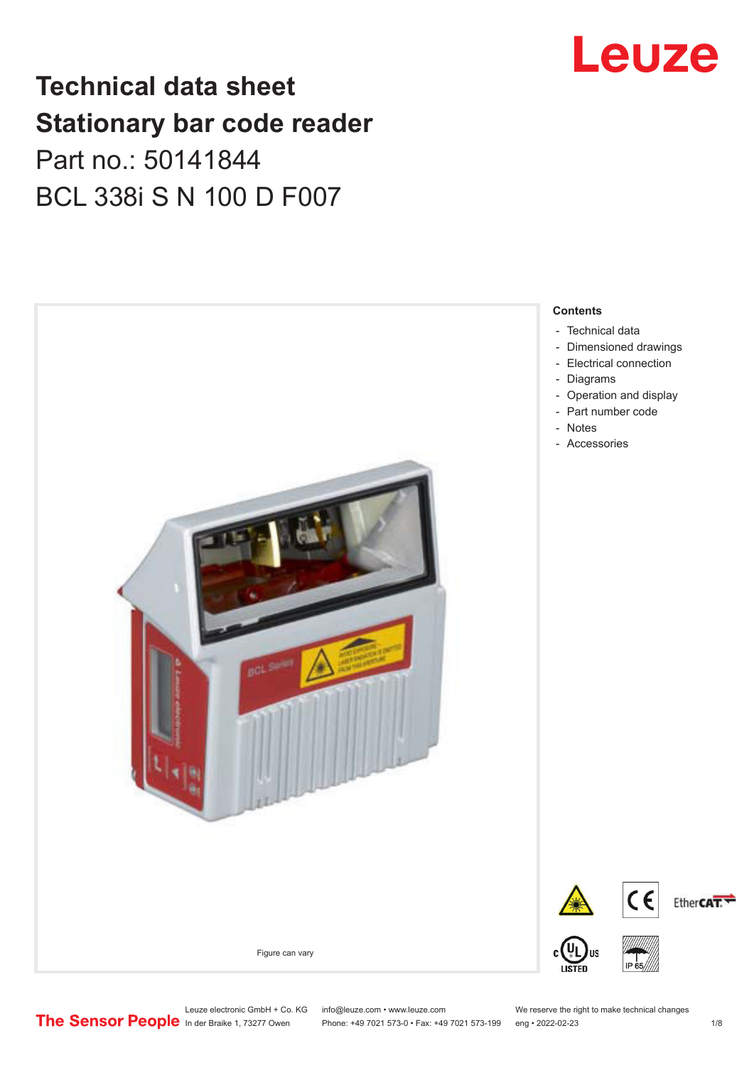## Leuze

## **Technical data sheet Stationary bar code reader** Part no.: 50141844 BCL 338i S N 100 D F007



Leuze electronic GmbH + Co. KG info@leuze.com • www.leuze.com We reserve the right to make technical changes<br>
The Sensor People in der Braike 1, 73277 Owen Phone: +49 7021 573-0 • Fax: +49 7021 573-199 eng • 2022-02-23

Phone: +49 7021 573-0 • Fax: +49 7021 573-199 eng • 2022-02-23 1 /8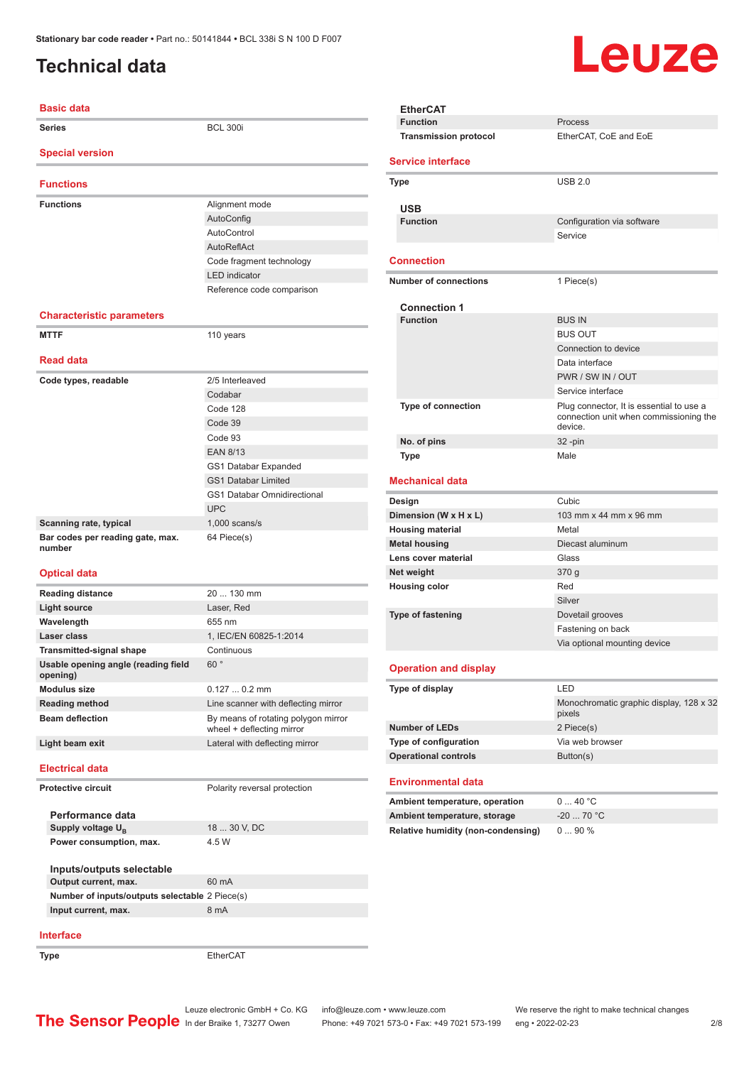### <span id="page-1-0"></span>**Technical data**

#### **Basic data Series** BCL 300i **Special version Functions Functions** Alignment mode AutoConfig AutoControl AutoReflAct Code fragment technology LED indicator Reference code comparison **Characteristic parameters MTTF** 110 years **Read data** Code types, readable 2/5 Interleaved Codabar Code 128 Code 39 Code 93 EAN 8/13 GS1 Databar Expanded GS1 Databar Limited GS1 Databar Omnidirectional UPC **Scanning rate, typical** 1,000 scans/s **Bar codes per reading gate, max. number** 64 Piece(s) **Optical data Reading distance** 20 ... 130 mm **Light source** Laser, Red **Wavelength** 655 nm **Laser class** 1, IEC/EN 60825-1:2014 **Transmitted-signal shape** Continuous **Usable opening angle (reading field opening)** 60 ° **Modulus size** 0.127 ... 0.2 mm **Reading method** Line scanner with deflecting mirror **Beam deflection** By means of rotating polygon mirror wheel + deflecting mirror **Light beam exit** Lateral with deflecting mirror **Electrical data Protective circuit** Polarity reversal protection **Performance data** Supply voltage  $U_{\text{B}}$ 18 ... 30 V, DC **Power consumption, max.** 4.5 W **Inputs/outputs selectable Output current, max.** 60 mA **Number of inputs/outputs selectable** 2 Piece(s) **Input current, max.** 8 mA **Interface Type** EtherCAT **EtherCAT**

# Leuze

|                             | <b>Function</b>                    | Process                                                                                       |
|-----------------------------|------------------------------------|-----------------------------------------------------------------------------------------------|
|                             | <b>Transmission protocol</b>       | EtherCAT, CoE and EoE                                                                         |
|                             | <b>Service interface</b>           |                                                                                               |
|                             | Type                               | <b>USB 2.0</b>                                                                                |
|                             |                                    |                                                                                               |
|                             | <b>USB</b><br><b>Function</b>      | Configuration via software                                                                    |
|                             |                                    | Service                                                                                       |
|                             | <b>Connection</b>                  |                                                                                               |
|                             | <b>Number of connections</b>       | 1 Piece(s)                                                                                    |
|                             | <b>Connection 1</b>                |                                                                                               |
|                             | <b>Function</b>                    | <b>BUS IN</b>                                                                                 |
|                             |                                    | <b>BUS OUT</b>                                                                                |
|                             |                                    | Connection to device                                                                          |
|                             |                                    | Data interface                                                                                |
|                             |                                    | PWR / SW IN / OUT                                                                             |
|                             |                                    | Service interface                                                                             |
|                             | <b>Type of connection</b>          | Plug connector, It is essential to use a<br>connection unit when commissioning the<br>device. |
|                             | No. of pins                        | 32 -pin                                                                                       |
|                             | Type                               | Male                                                                                          |
|                             | <b>Mechanical data</b>             |                                                                                               |
|                             | Design                             | Cubic                                                                                         |
|                             | Dimension (W x H x L)              | 103 mm x 44 mm x 96 mm                                                                        |
|                             | <b>Housing material</b>            | Metal                                                                                         |
|                             | <b>Metal housing</b>               | Diecast aluminum                                                                              |
|                             | Lens cover material                | Glass                                                                                         |
|                             | Net weight                         | 370 g                                                                                         |
|                             | <b>Housing color</b>               | Red                                                                                           |
|                             |                                    | Silver                                                                                        |
|                             | <b>Type of fastening</b>           | Dovetail grooves                                                                              |
|                             |                                    | Fastening on back                                                                             |
|                             |                                    | Via optional mounting device                                                                  |
|                             | <b>Operation and display</b>       |                                                                                               |
|                             | Type of display                    |                                                                                               |
|                             |                                    | Monochromatic graphic display, 128 x 32<br>pixels                                             |
|                             | <b>Number of LEDs</b>              | 2 Piece(s)                                                                                    |
|                             | Type of configuration              | Via web browser                                                                               |
| <b>Operational controls</b> |                                    | Button(s)                                                                                     |
|                             | <b>Environmental data</b>          |                                                                                               |
|                             | Ambient temperature, operation     | 040 °C                                                                                        |
|                             | Ambient temperature, storage       | $-20$ 70 °C                                                                                   |
|                             | Relative humidity (non-condensing) | 090%                                                                                          |
|                             |                                    |                                                                                               |

Leuze electronic GmbH + Co. KG info@leuze.com • www.leuze.com We reserve the right to make technical changes<br>
The Sensor People in der Braike 1, 73277 Owen Phone: +49 7021 573-0 • Fax: +49 7021 573-199 eng • 2022-02-23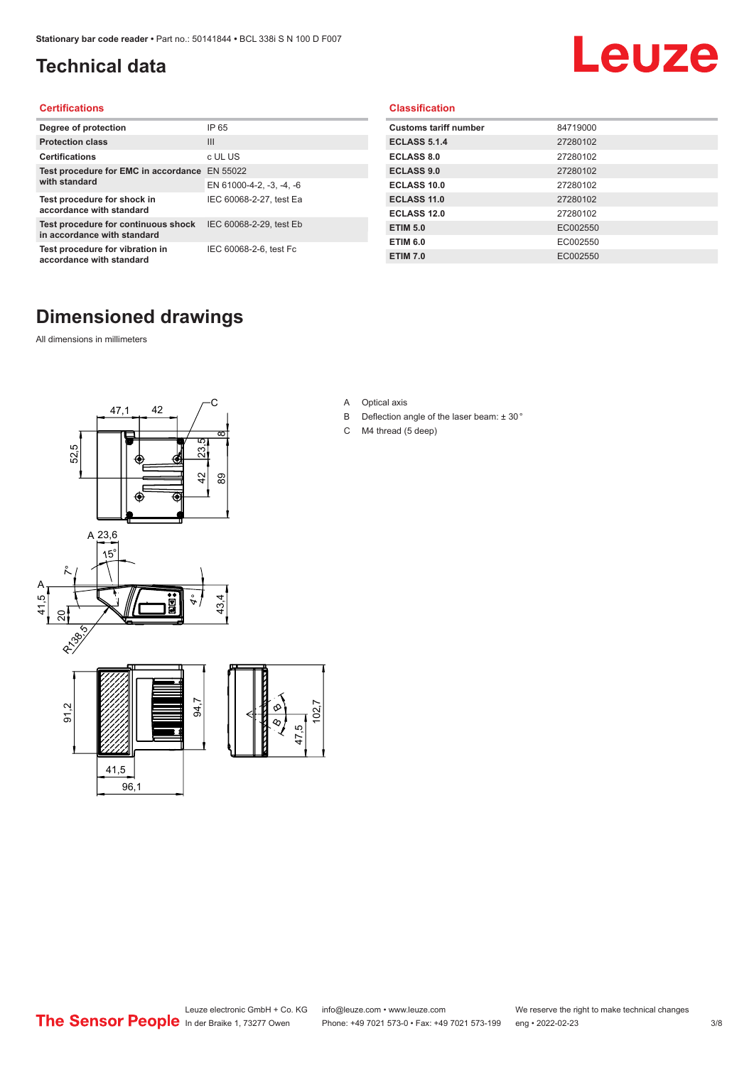## <span id="page-2-0"></span>**Technical data**

# Leuze

#### **Certifications**

| Degree of protection                                               | IP 65                    |
|--------------------------------------------------------------------|--------------------------|
| <b>Protection class</b>                                            | $\mathbf{III}$           |
| <b>Certifications</b>                                              | c UL US                  |
| Test procedure for EMC in accordance                               | EN 55022                 |
| with standard                                                      | EN 61000-4-2, -3, -4, -6 |
| Test procedure for shock in<br>accordance with standard            | IEC 60068-2-27, test Ea  |
| Test procedure for continuous shock<br>in accordance with standard | IEC 60068-2-29, test Eb  |
| Test procedure for vibration in<br>accordance with standard        | IEC 60068-2-6, test Fc   |

#### **Classification**

| <b>Customs tariff number</b> | 84719000 |
|------------------------------|----------|
| <b>ECLASS 5.1.4</b>          | 27280102 |
| <b>ECLASS 8.0</b>            | 27280102 |
| <b>ECLASS 9.0</b>            | 27280102 |
| <b>ECLASS 10.0</b>           | 27280102 |
| <b>ECLASS 11.0</b>           | 27280102 |
| ECLASS 12.0                  | 27280102 |
| <b>ETIM 5.0</b>              | EC002550 |
| <b>ETIM 6.0</b>              | EC002550 |
| <b>ETIM 7.0</b>              | EC002550 |

#### **Dimensioned drawings**

All dimensions in millimeters



- A Optical axis
- B Deflection angle of the laser beam: ± 30 °
- C M4 thread (5 deep)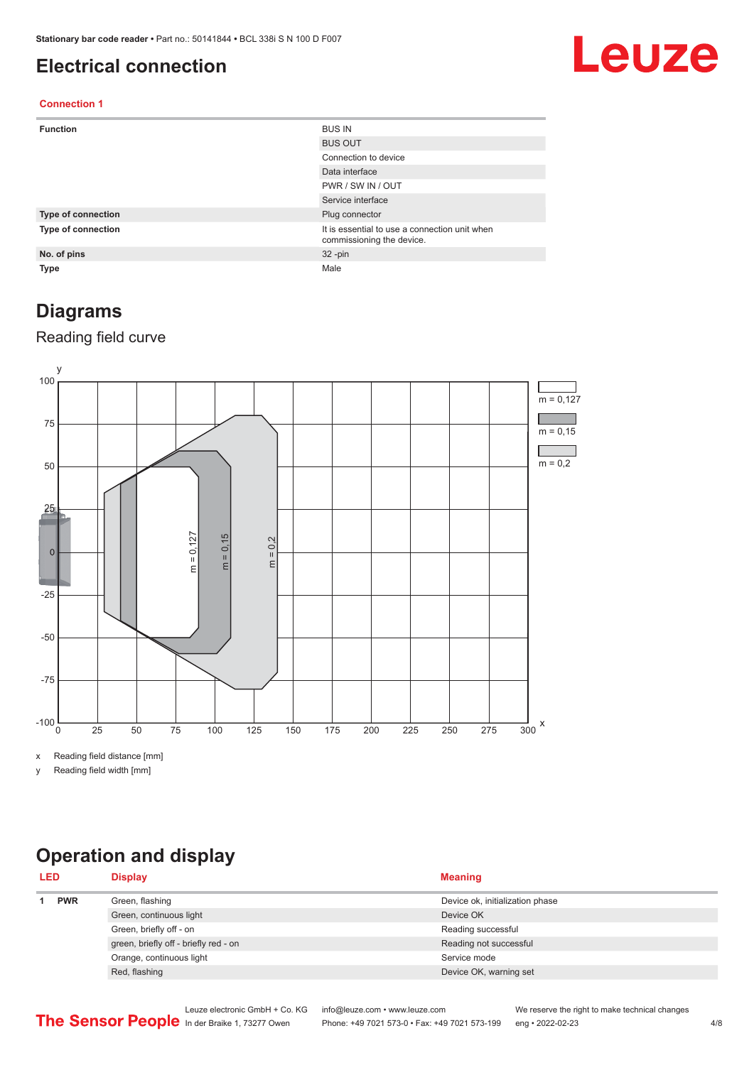#### <span id="page-3-0"></span>**Electrical connection**

## Leuze

#### **Connection 1**

| <b>Function</b>    | <b>BUS IN</b>                                                              |
|--------------------|----------------------------------------------------------------------------|
|                    | <b>BUS OUT</b>                                                             |
|                    | Connection to device                                                       |
|                    | Data interface                                                             |
|                    | PWR / SW IN / OUT                                                          |
|                    | Service interface                                                          |
| Type of connection | Plug connector                                                             |
| Type of connection | It is essential to use a connection unit when<br>commissioning the device. |
| No. of pins        | $32 - pin$                                                                 |
| <b>Type</b>        | Male                                                                       |

#### **Diagrams**

#### Reading field curve



x Reading field distance [mm]

y Reading field width [mm]

## **Operation and display**

| <b>PWR</b><br>Green, flashing<br>Device ok, initialization phase<br>Green, continuous light<br>Device OK | <b>LED</b> | <b>Display</b>          | <b>Meaning</b>     |
|----------------------------------------------------------------------------------------------------------|------------|-------------------------|--------------------|
|                                                                                                          |            |                         |                    |
|                                                                                                          |            |                         |                    |
|                                                                                                          |            | Green, briefly off - on | Reading successful |
| green, briefly off - briefly red - on<br>Reading not successful                                          |            |                         |                    |
| Orange, continuous light<br>Service mode                                                                 |            |                         |                    |
| Red, flashing<br>Device OK, warning set                                                                  |            |                         |                    |

Leuze electronic GmbH + Co. KG info@leuze.com • www.leuze.com We reserve the right to make technical changes<br>
The Sensor People in der Braike 1, 73277 Owen Phone: +49 7021 573-0 • Fax: +49 7021 573-199 eng • 2022-02-23 Phone: +49 7021 573-0 • Fax: +49 7021 573-199 eng • 2022-02-23 4/8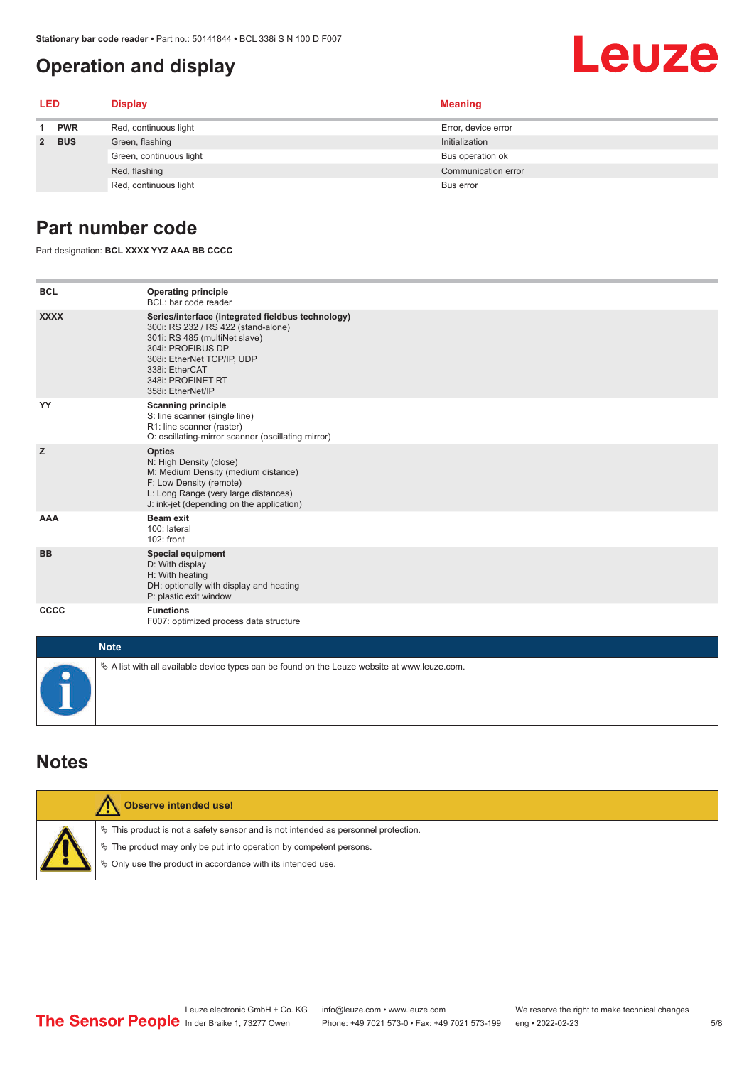#### <span id="page-4-0"></span>**Operation and display**

# Leuze

| <b>LED</b> |            | <b>Display</b>          | <b>Meaning</b>      |  |
|------------|------------|-------------------------|---------------------|--|
| 1.         | <b>PWR</b> | Red, continuous light   | Error, device error |  |
|            | 2 BUS      | Green, flashing         | Initialization      |  |
|            |            | Green, continuous light | Bus operation ok    |  |
|            |            | Red, flashing           | Communication error |  |
|            |            | Red, continuous light   | Bus error           |  |

#### **Part number code**

Part designation: **BCL XXXX YYZ AAA BB CCCC**

| <b>BCL</b>  | <b>Operating principle</b><br>BCL: bar code reader                                                                                                                                                                                       |
|-------------|------------------------------------------------------------------------------------------------------------------------------------------------------------------------------------------------------------------------------------------|
| <b>XXXX</b> | Series/interface (integrated fieldbus technology)<br>300i: RS 232 / RS 422 (stand-alone)<br>301i: RS 485 (multiNet slave)<br>304i: PROFIBUS DP<br>308i: EtherNet TCP/IP, UDP<br>338i: EtherCAT<br>348i: PROFINET RT<br>358i: EtherNet/IP |
| YY          | <b>Scanning principle</b><br>S: line scanner (single line)<br>R1: line scanner (raster)<br>O: oscillating-mirror scanner (oscillating mirror)                                                                                            |
| z           | <b>Optics</b><br>N: High Density (close)<br>M: Medium Density (medium distance)<br>F: Low Density (remote)<br>L: Long Range (very large distances)<br>J: ink-jet (depending on the application)                                          |
| <b>AAA</b>  | Beam exit<br>100: lateral<br>102: front                                                                                                                                                                                                  |
| <b>BB</b>   | <b>Special equipment</b><br>D: With display<br>H: With heating<br>DH: optionally with display and heating<br>P: plastic exit window                                                                                                      |
| <b>CCCC</b> | <b>Functions</b><br>F007: optimized process data structure                                                                                                                                                                               |
| <b>Note</b> |                                                                                                                                                                                                                                          |
|             | $\&$ A list with all available device types can be found on the Leuze website at www.leuze.com.                                                                                                                                          |

#### **Notes**

| Observe intended use!                                                                                                                                                                                                         |
|-------------------------------------------------------------------------------------------------------------------------------------------------------------------------------------------------------------------------------|
| $\%$ This product is not a safety sensor and is not intended as personnel protection.<br>$\%$ The product may only be put into operation by competent persons.<br>§ Only use the product in accordance with its intended use. |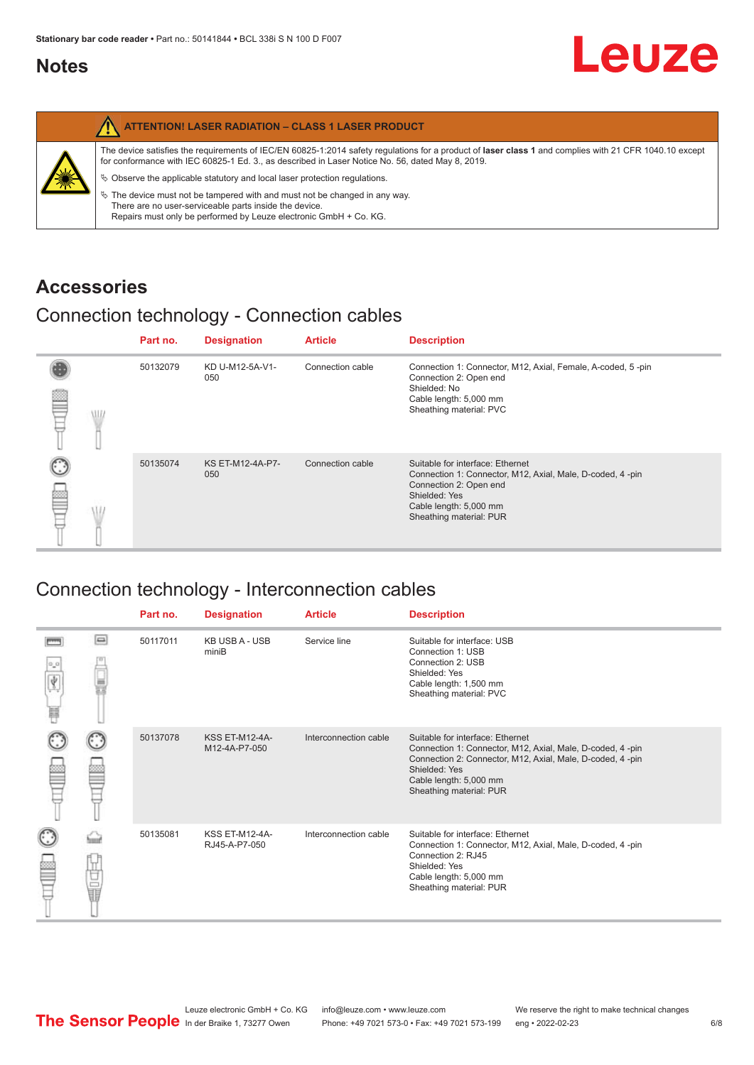#### <span id="page-5-0"></span>**Notes**

|   | <b>ATTENTION! LASER RADIATION - CLASS 1 LASER PRODUCT</b>                                                                                                                                                                                                                                                                                                                                                                                                                                                                                                   |
|---|-------------------------------------------------------------------------------------------------------------------------------------------------------------------------------------------------------------------------------------------------------------------------------------------------------------------------------------------------------------------------------------------------------------------------------------------------------------------------------------------------------------------------------------------------------------|
| 纂 | The device satisfies the requirements of IEC/EN 60825-1:2014 safety requlations for a product of laser class 1 and complies with 21 CFR 1040.10 except<br>for conformance with IEC 60825-1 Ed. 3., as described in Laser Notice No. 56, dated May 8, 2019.<br>$\&$ Observe the applicable statutory and local laser protection regulations.<br>$\%$ The device must not be tampered with and must not be changed in any way.<br>There are no user-serviceable parts inside the device.<br>Repairs must only be performed by Leuze electronic GmbH + Co. KG. |

#### **Accessories**

#### Connection technology - Connection cables

|      | Part no. | <b>Designation</b>      | <b>Article</b>   | <b>Description</b>                                                                                                                                                                            |
|------|----------|-------------------------|------------------|-----------------------------------------------------------------------------------------------------------------------------------------------------------------------------------------------|
| \ll. | 50132079 | KD U-M12-5A-V1-<br>050  | Connection cable | Connection 1: Connector, M12, Axial, Female, A-coded, 5-pin<br>Connection 2: Open end<br>Shielded: No<br>Cable length: 5,000 mm<br>Sheathing material: PVC                                    |
|      | 50135074 | KS ET-M12-4A-P7-<br>050 | Connection cable | Suitable for interface: Ethernet<br>Connection 1: Connector, M12, Axial, Male, D-coded, 4-pin<br>Connection 2: Open end<br>Shielded: Yes<br>Cable length: 5,000 mm<br>Sheathing material: PUR |

### Connection technology - Interconnection cables

|                           |                                                                                                                                                                                                                                | Part no. | <b>Designation</b>                     | <b>Article</b>        | <b>Description</b>                                                                                                                                                                                                               |
|---------------------------|--------------------------------------------------------------------------------------------------------------------------------------------------------------------------------------------------------------------------------|----------|----------------------------------------|-----------------------|----------------------------------------------------------------------------------------------------------------------------------------------------------------------------------------------------------------------------------|
| $\frac{1}{\sqrt{2}}$<br>Ħ | $\Box$                                                                                                                                                                                                                         | 50117011 | <b>KB USB A - USB</b><br>miniB         | Service line          | Suitable for interface: USB<br>Connection 1: USB<br>Connection 2: USB<br>Shielded: Yes<br>Cable length: 1,500 mm<br>Sheathing material: PVC                                                                                      |
|                           |                                                                                                                                                                                                                                | 50137078 | <b>KSS ET-M12-4A-</b><br>M12-4A-P7-050 | Interconnection cable | Suitable for interface: Ethernet<br>Connection 1: Connector, M12, Axial, Male, D-coded, 4-pin<br>Connection 2: Connector, M12, Axial, Male, D-coded, 4-pin<br>Shielded: Yes<br>Cable length: 5,000 mm<br>Sheathing material: PUR |
|                           | the filled the control in the control in the control in the control in the control in the control in the control in the control in the control in the control in the control in the control in the control in the control in t | 50135081 | <b>KSS ET-M12-4A-</b><br>RJ45-A-P7-050 | Interconnection cable | Suitable for interface: Ethernet<br>Connection 1: Connector, M12, Axial, Male, D-coded, 4-pin<br>Connection 2: RJ45<br>Shielded: Yes<br>Cable length: 5,000 mm<br>Sheathing material: PUR                                        |

Leuze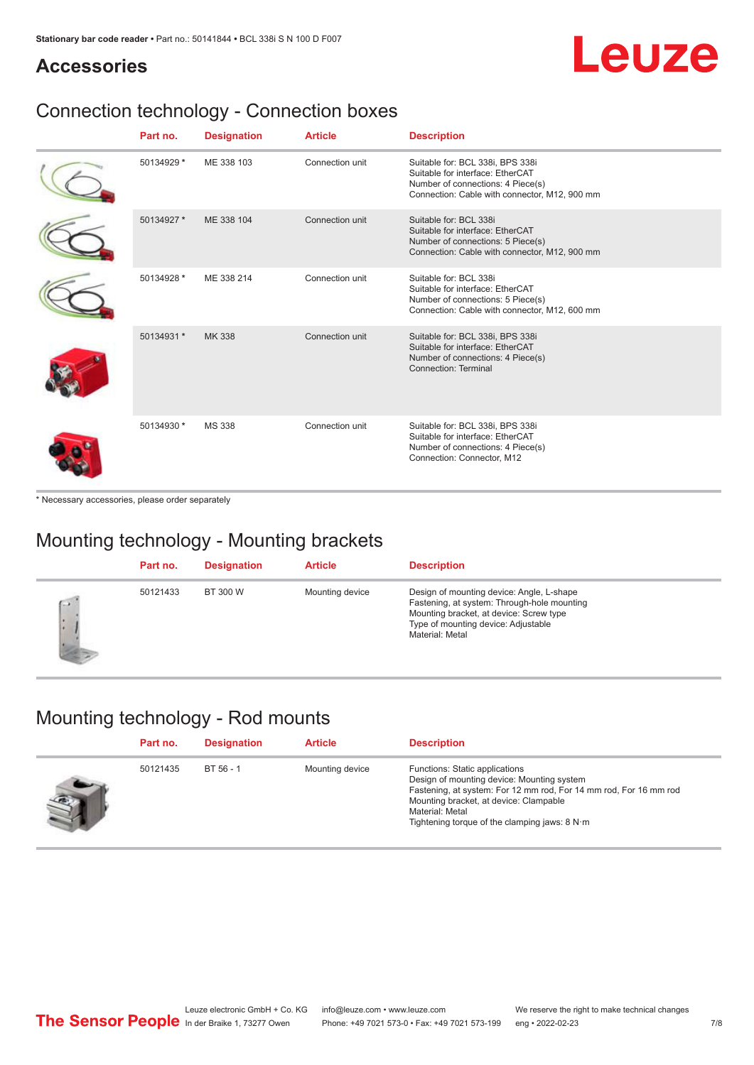# Leuze

#### **Accessories**

## Connection technology - Connection boxes

| Part no.   | <b>Designation</b> | <b>Article</b>  | <b>Description</b>                                                                                                                                         |
|------------|--------------------|-----------------|------------------------------------------------------------------------------------------------------------------------------------------------------------|
| 50134929 * | ME 338 103         | Connection unit | Suitable for: BCL 338i, BPS 338i<br>Suitable for interface: EtherCAT<br>Number of connections: 4 Piece(s)<br>Connection: Cable with connector, M12, 900 mm |
| 50134927 * | ME 338 104         | Connection unit | Suitable for: BCL 338i<br>Suitable for interface: EtherCAT<br>Number of connections: 5 Piece(s)<br>Connection: Cable with connector, M12, 900 mm           |
| 50134928 * | ME 338 214         | Connection unit | Suitable for: BCL 338i<br>Suitable for interface: EtherCAT<br>Number of connections: 5 Piece(s)<br>Connection: Cable with connector, M12, 600 mm           |
| 50134931 * | MK 338             | Connection unit | Suitable for: BCL 338i, BPS 338i<br>Suitable for interface: EtherCAT<br>Number of connections: 4 Piece(s)<br>Connection: Terminal                          |
| 50134930 * | <b>MS 338</b>      | Connection unit | Suitable for: BCL 338i, BPS 338i<br>Suitable for interface: EtherCAT<br>Number of connections: 4 Piece(s)<br>Connection: Connector, M12                    |

\* Necessary accessories, please order separately

#### Mounting technology - Mounting brackets

|              | Part no. | <b>Designation</b> | <b>Article</b>  | <b>Description</b>                                                                                                                                                                            |
|--------------|----------|--------------------|-----------------|-----------------------------------------------------------------------------------------------------------------------------------------------------------------------------------------------|
| $\sim$<br>ı. | 50121433 | BT 300 W           | Mounting device | Design of mounting device: Angle, L-shape<br>Fastening, at system: Through-hole mounting<br>Mounting bracket, at device: Screw type<br>Type of mounting device: Adjustable<br>Material: Metal |

#### Mounting technology - Rod mounts

| Part no. | <b>Designation</b> | <b>Article</b>  | <b>Description</b>                                                                                                                                                                                                                                                |
|----------|--------------------|-----------------|-------------------------------------------------------------------------------------------------------------------------------------------------------------------------------------------------------------------------------------------------------------------|
| 50121435 | BT 56 - 1          | Mounting device | Functions: Static applications<br>Design of mounting device: Mounting system<br>Fastening, at system: For 12 mm rod, For 14 mm rod, For 16 mm rod<br>Mounting bracket, at device: Clampable<br>Material: Metal<br>Tightening torque of the clamping jaws: $8 N·m$ |